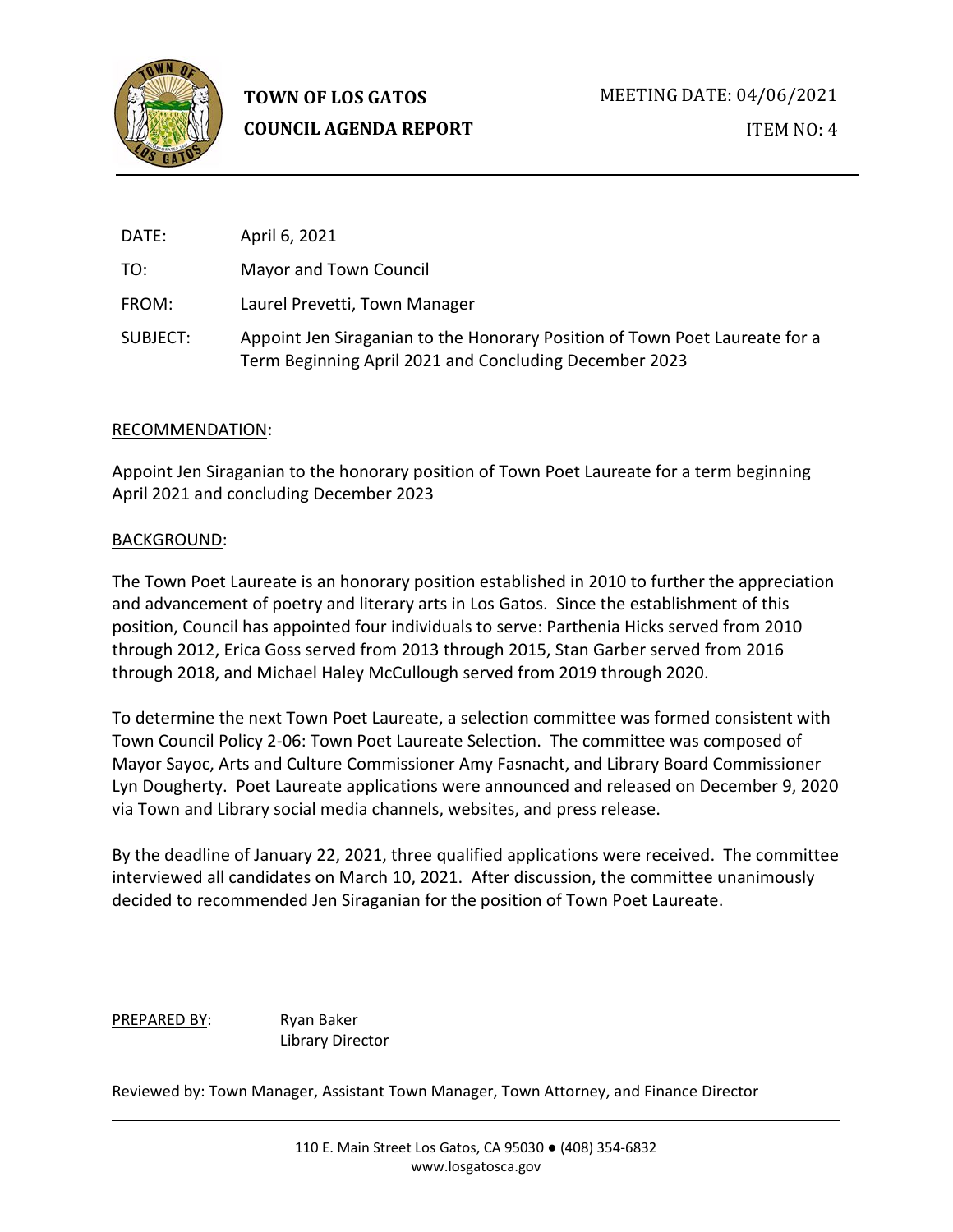

ITEM NO: 4

| DATE:    | April 6, 2021                                                                                                                         |
|----------|---------------------------------------------------------------------------------------------------------------------------------------|
| TO:      | Mayor and Town Council                                                                                                                |
| FROM:    | Laurel Prevetti, Town Manager                                                                                                         |
| SUBJECT: | Appoint Jen Siraganian to the Honorary Position of Town Poet Laureate for a<br>Term Beginning April 2021 and Concluding December 2023 |

# RECOMMENDATION:

Appoint Jen Siraganian to the honorary position of Town Poet Laureate for a term beginning April 2021 and concluding December 2023

### BACKGROUND:

The Town Poet Laureate is an honorary position established in 2010 to further the appreciation and advancement of poetry and literary arts in Los Gatos. Since the establishment of this position, Council has appointed four individuals to serve: Parthenia Hicks served from 2010 through 2012, Erica Goss served from 2013 through 2015, Stan Garber served from 2016 through 2018, and Michael Haley McCullough served from 2019 through 2020.

To determine the next Town Poet Laureate, a selection committee was formed consistent with Town Council Policy 2-06: Town Poet Laureate Selection. The committee was composed of Mayor Sayoc, Arts and Culture Commissioner Amy Fasnacht, and Library Board Commissioner Lyn Dougherty. Poet Laureate applications were announced and released on December 9, 2020 via Town and Library social media channels, websites, and press release.

By the deadline of January 22, 2021, three qualified applications were received. The committee interviewed all candidates on March 10, 2021. After discussion, the committee unanimously decided to recommended Jen Siraganian for the position of Town Poet Laureate.

PREPARED BY: Ryan Baker Library Director

Reviewed by: Town Manager, Assistant Town Manager, Town Attorney, and Finance Director